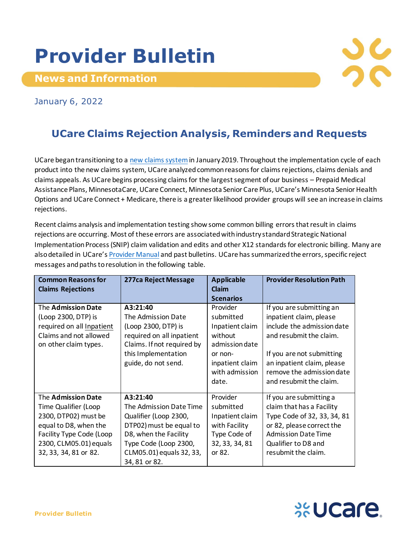## **Provider Bulletin**

**News and Information**



January 6, 2022

## **UCare Claims Rejection Analysis, Reminders and Requests**

UCare began transitioning to a [new claims system](https://www.ucare.org/providers/policies-resources/claims-billing/new-claims-system)in January 2019. Throughout the implementation cycle of each product into the new claims system, UCare analyzed common reasons for claims rejections, claims denials and claims appeals. As UCare begins processing claims for the largest segment of our business – Prepaid Medical Assistance Plans, MinnesotaCare, UCare Connect, Minnesota Senior Care Plus, UCare's Minnesota Senior Health Options and UCare Connect + Medicare, there is a greater likelihood provider groups will see an increase in claims rejections.

Recent claims analysis and implementation testing show some common billing errors that result in claims rejections are occurring. Most of these errors are associated with industry standard Strategic National Implementation Process (SNIP) claim validation and edits and other X12 standards for electronic billing. Many are also detailed in UCare's [Provider Manual](https://www.ucare.org/providers/policies-resources/provider-manual) and past bulletins. UCare has summarized the errors, specific reject messages and paths to resolution in the following table.

| <b>Common Reasons for</b><br><b>Claims Rejections</b>                                                                                                                      | 277ca Reject Message                                                                                                                                                                   | <b>Applicable</b><br>Claim                                                                                                     | <b>Provider Resolution Path</b>                                                                                                                                                                                                 |
|----------------------------------------------------------------------------------------------------------------------------------------------------------------------------|----------------------------------------------------------------------------------------------------------------------------------------------------------------------------------------|--------------------------------------------------------------------------------------------------------------------------------|---------------------------------------------------------------------------------------------------------------------------------------------------------------------------------------------------------------------------------|
|                                                                                                                                                                            |                                                                                                                                                                                        | <b>Scenarios</b>                                                                                                               |                                                                                                                                                                                                                                 |
| The Admission Date<br>(Loop 2300, DTP) is<br>required on all Inpatient<br>Claims and not allowed<br>on other claim types.                                                  | A3:21:40<br>The Admission Date<br>(Loop 2300, DTP) is<br>required on all inpatient<br>Claims. If not required by<br>this Implementation<br>guide, do not send.                         | Provider<br>submitted<br>Inpatient claim<br>without<br>admission date<br>or non-<br>inpatient claim<br>with admission<br>date. | If you are submitting an<br>inpatient claim, please<br>include the admission date<br>and resubmit the claim.<br>If you are not submitting<br>an inpatient claim, please<br>remove the admission date<br>and resubmit the claim. |
| The Admission Date<br>Time Qualifier (Loop<br>2300, DTP02) must be<br>equal to D8, when the<br>Facility Type Code (Loop<br>2300, CLM05.01) equals<br>32, 33, 34, 81 or 82. | A3:21:40<br>The Admission Date Time<br>Qualifier (Loop 2300,<br>DTP02) must be equal to<br>D8, when the Facility<br>Type Code (Loop 2300,<br>CLM05.01) equals 32, 33,<br>34, 81 or 82. | Provider<br>submitted<br>Inpatient claim<br>with Facility<br>Type Code of<br>32, 33, 34, 81<br>or 82.                          | If you are submitting a<br>claim that has a Facility<br>Type Code of 32, 33, 34, 81<br>or 82, please correct the<br><b>Admission Date Time</b><br>Qualifier to D8 and<br>resubmit the claim.                                    |

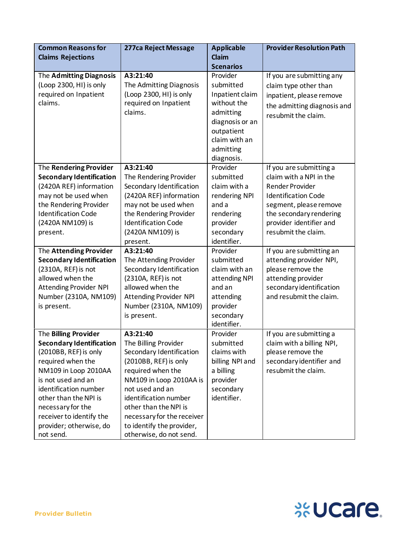| <b>Common Reasons for</b>                                                                                                                                                                                                                                                                                                                                   | 277ca Reject Message                                                                                                                                                                                                                                                                                                                                                                | <b>Applicable</b>                                                                                                                                                                                                   | <b>Provider Resolution Path</b>                                                                                                                                                                                                                                                                                                                 |
|-------------------------------------------------------------------------------------------------------------------------------------------------------------------------------------------------------------------------------------------------------------------------------------------------------------------------------------------------------------|-------------------------------------------------------------------------------------------------------------------------------------------------------------------------------------------------------------------------------------------------------------------------------------------------------------------------------------------------------------------------------------|---------------------------------------------------------------------------------------------------------------------------------------------------------------------------------------------------------------------|-------------------------------------------------------------------------------------------------------------------------------------------------------------------------------------------------------------------------------------------------------------------------------------------------------------------------------------------------|
| <b>Claims Rejections</b>                                                                                                                                                                                                                                                                                                                                    |                                                                                                                                                                                                                                                                                                                                                                                     | <b>Claim</b>                                                                                                                                                                                                        |                                                                                                                                                                                                                                                                                                                                                 |
|                                                                                                                                                                                                                                                                                                                                                             |                                                                                                                                                                                                                                                                                                                                                                                     | <b>Scenarios</b>                                                                                                                                                                                                    |                                                                                                                                                                                                                                                                                                                                                 |
| The Admitting Diagnosis<br>(Loop 2300, HI) is only<br>required on Inpatient<br>claims.                                                                                                                                                                                                                                                                      | A3:21:40<br>The Admitting Diagnosis<br>(Loop 2300, HI) is only<br>required on Inpatient<br>claims.                                                                                                                                                                                                                                                                                  | Provider<br>submitted<br>Inpatient claim<br>without the<br>admitting<br>diagnosis or an<br>outpatient<br>claim with an<br>admitting<br>diagnosis.                                                                   | If you are submitting any<br>claim type other than<br>inpatient, please remove<br>the admitting diagnosis and<br>resubmit the claim.                                                                                                                                                                                                            |
| The Rendering Provider                                                                                                                                                                                                                                                                                                                                      | A3:21:40                                                                                                                                                                                                                                                                                                                                                                            | Provider                                                                                                                                                                                                            | If you are submitting a                                                                                                                                                                                                                                                                                                                         |
| <b>Secondary Identification</b><br>(2420A REF) information<br>may not be used when<br>the Rendering Provider<br><b>Identification Code</b><br>(2420A NM109) is<br>present.<br>The Attending Provider<br><b>Secondary Identification</b><br>(2310A, REF) is not<br>allowed when the<br><b>Attending Provider NPI</b><br>Number (2310A, NM109)<br>is present. | The Rendering Provider<br>Secondary Identification<br>(2420A REF) information<br>may not be used when<br>the Rendering Provider<br><b>Identification Code</b><br>(2420A NM109) is<br>present.<br>A3:21:40<br>The Attending Provider<br>Secondary Identification<br>(2310A, REF) is not<br>allowed when the<br><b>Attending Provider NPI</b><br>Number (2310A, NM109)<br>is present. | submitted<br>claim with a<br>rendering NPI<br>and a<br>rendering<br>provider<br>secondary<br>identifier.<br>Provider<br>submitted<br>claim with an<br>attending NPI<br>and an<br>attending<br>provider<br>secondary | claim with a NPI in the<br><b>Render Provider</b><br><b>Identification Code</b><br>segment, please remove<br>the secondary rendering<br>provider identifier and<br>resubmit the claim.<br>If you are submitting an<br>attending provider NPI,<br>please remove the<br>attending provider<br>secondary identification<br>and resubmit the claim. |
|                                                                                                                                                                                                                                                                                                                                                             |                                                                                                                                                                                                                                                                                                                                                                                     | identifier.                                                                                                                                                                                                         |                                                                                                                                                                                                                                                                                                                                                 |
| The Billing Provider<br><b>Secondary Identification</b><br>(2010BB, REF) is only<br>required when the<br>NM109 in Loop 2010AA<br>is not used and an<br>identification number<br>other than the NPI is<br>necessary for the<br>receiver to identify the<br>provider; otherwise, do<br>not send.                                                              | A3:21:40<br>The Billing Provider<br>Secondary Identification<br>(2010BB, REF) is only<br>required when the<br>NM109 in Loop 2010AA is<br>not used and an<br>identification number<br>other than the NPI is<br>necessary for the receiver<br>to identify the provider,<br>otherwise, do not send.                                                                                    | Provider<br>submitted<br>claims with<br>billing NPI and<br>a billing<br>provider<br>secondary<br>identifier.                                                                                                        | If you are submitting a<br>claim with a billing NPI,<br>please remove the<br>secondary identifier and<br>resubmit the claim.                                                                                                                                                                                                                    |

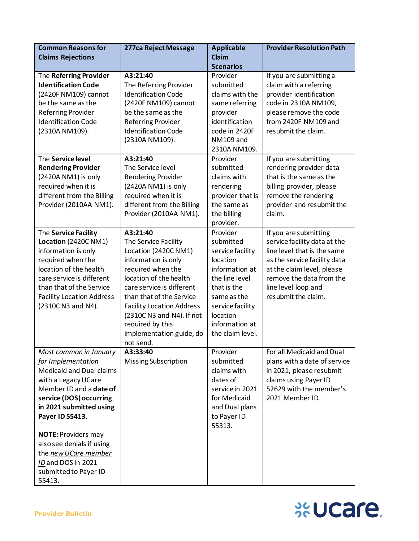| <b>Common Reasons for</b>                             | 277ca Reject Message                        | <b>Applicable</b>             | <b>Provider Resolution Path</b>                   |
|-------------------------------------------------------|---------------------------------------------|-------------------------------|---------------------------------------------------|
| <b>Claims Rejections</b>                              |                                             | Claim                         |                                                   |
|                                                       | A3:21:40                                    | <b>Scenarios</b><br>Provider  |                                                   |
| The Referring Provider<br><b>Identification Code</b>  | The Referring Provider                      | submitted                     | If you are submitting a<br>claim with a referring |
| (2420F NM109) cannot                                  | <b>Identification Code</b>                  | claims with the               | provider identification                           |
| be the same as the                                    | (2420F NM109) cannot                        | same referring                | code in 2310A NM109,                              |
| <b>Referring Provider</b>                             | be the same as the                          | provider                      | please remove the code                            |
| <b>Identification Code</b>                            | <b>Referring Provider</b>                   | identification                | from 2420F NM109 and                              |
| (2310A NM109).                                        | <b>Identification Code</b>                  | code in 2420F                 | resubmit the claim.                               |
|                                                       | (2310A NM109).                              | NM109 and                     |                                                   |
|                                                       |                                             | 2310A NM109.                  |                                                   |
| The Service level                                     | A3:21:40                                    | Provider                      | If you are submitting                             |
| <b>Rendering Provider</b>                             | The Service level                           | submitted                     | rendering provider data                           |
| (2420A NM1) is only                                   | <b>Rendering Provider</b>                   | claims with                   | that is the same as the                           |
| required when it is                                   | (2420A NM1) is only                         | rendering                     | billing provider, please                          |
| different from the Billing                            | required when it is                         | provider that is              | remove the rendering                              |
| Provider (2010AA NM1).                                | different from the Billing                  | the same as                   | provider and resubmit the                         |
|                                                       | Provider (2010AA NM1).                      | the billing                   | claim.                                            |
|                                                       |                                             | provider.                     |                                                   |
| The Service Facility                                  | A3:21:40                                    | Provider                      | If you are submitting                             |
| Location (2420C NM1)                                  | The Service Facility                        | submitted                     | service facility data at the                      |
| information is only                                   | Location (2420C NM1)                        | service facility              | line level that is the same                       |
| required when the                                     | information is only                         | location                      | as the service facility data                      |
| location of the health                                | required when the<br>location of the health | information at                | at the claim level, please                        |
| care service is different<br>than that of the Service | care service is different                   | the line level<br>that is the | remove the data from the                          |
| <b>Facility Location Address</b>                      | than that of the Service                    | same as the                   | line level loop and<br>resubmit the claim.        |
| (2310C N3 and N4).                                    | <b>Facility Location Address</b>            | service facility              |                                                   |
|                                                       | (2310C N3 and N4). If not                   | location                      |                                                   |
|                                                       | required by this                            | information at                |                                                   |
|                                                       | implementation guide, do                    | the claim level.              |                                                   |
|                                                       | not send.                                   |                               |                                                   |
| Most common in January                                | A3:33:40                                    | Provider                      | For all Medicaid and Dual                         |
| for Implementation                                    | <b>Missing Subscription</b>                 | submitted                     | plans with a date of service                      |
| <b>Medicaid and Dual claims</b>                       |                                             | claims with                   | in 2021, please resubmit                          |
| with a Legacy UCare                                   |                                             | dates of                      | claims using Payer ID                             |
| Member ID and a date of                               |                                             | service in 2021               | 52629 with the member's                           |
| service (DOS) occurring                               |                                             | for Medicaid                  | 2021 Member ID.                                   |
| in 2021 submitted using                               |                                             | and Dual plans                |                                                   |
| Payer ID 55413.                                       |                                             | to Payer ID<br>55313.         |                                                   |
| <b>NOTE: Providers may</b>                            |                                             |                               |                                                   |
| also see denials if using                             |                                             |                               |                                                   |
| the new UCare member                                  |                                             |                               |                                                   |
| ID and DOS in 2021                                    |                                             |                               |                                                   |
| submitted to Payer ID                                 |                                             |                               |                                                   |
| 55413.                                                |                                             |                               |                                                   |

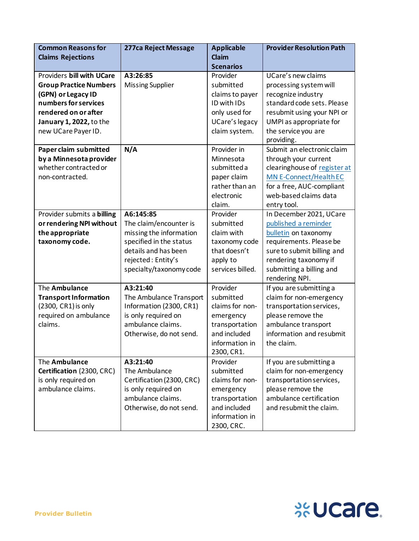| <b>Common Reasons for</b>                                                                                                                                                          | 277ca Reject Message                                                                                                                                               | <b>Applicable</b>                                                                                                       | <b>Provider Resolution Path</b>                                                                                                                                                                         |
|------------------------------------------------------------------------------------------------------------------------------------------------------------------------------------|--------------------------------------------------------------------------------------------------------------------------------------------------------------------|-------------------------------------------------------------------------------------------------------------------------|---------------------------------------------------------------------------------------------------------------------------------------------------------------------------------------------------------|
| <b>Claims Rejections</b>                                                                                                                                                           |                                                                                                                                                                    | Claim                                                                                                                   |                                                                                                                                                                                                         |
|                                                                                                                                                                                    |                                                                                                                                                                    | <b>Scenarios</b>                                                                                                        |                                                                                                                                                                                                         |
| Providers bill with UCare<br><b>Group Practice Numbers</b><br>(GPN) or Legacy ID<br>numbers for services<br>rendered on or after<br>January 1, 2022, to the<br>new UCare Payer ID. | A3:26:85<br><b>Missing Supplier</b>                                                                                                                                | Provider<br>submitted<br>claims to payer<br>ID with IDs<br>only used for<br>UCare's legacy<br>claim system.             | UCare's new claims<br>processing system will<br>recognize industry<br>standard code sets. Please<br>resubmit using your NPI or<br>UMPI as appropriate for<br>the service you are<br>providing.          |
| Paper claim submitted<br>by a Minnesota provider<br>whether contracted or<br>non-contracted.                                                                                       | N/A                                                                                                                                                                | Provider in<br>Minnesota<br>submitted a<br>paper claim<br>rather than an<br>electronic<br>claim.                        | Submit an electronic claim<br>through your current<br>clearinghouse of register at<br><b>MN E-Connect/Health EC</b><br>for a free, AUC-compliant<br>web-based claims data<br>entry tool.                |
| Provider submits a billing<br>or rendering NPI without<br>the appropriate<br>taxonomy code.                                                                                        | A6:145:85<br>The claim/encounter is<br>missing the information<br>specified in the status<br>details and has been<br>rejected: Entity's<br>specialty/taxonomy code | Provider<br>submitted<br>claim with<br>taxonomy code<br>that doesn't<br>apply to<br>services billed.                    | In December 2021, UCare<br>published a reminder<br>bulletin on taxonomy<br>requirements. Please be<br>sure to submit billing and<br>rendering taxonomy if<br>submitting a billing and<br>rendering NPI. |
| The Ambulance<br><b>Transport Information</b><br>(2300, CR1) is only<br>required on ambulance<br>claims.                                                                           | A3:21:40<br>The Ambulance Transport<br>Information (2300, CR1)<br>is only required on<br>ambulance claims.<br>Otherwise, do not send.                              | Provider<br>submitted<br>claims for non-<br>emergency<br>transportation<br>and included<br>information in<br>2300, CR1. | If you are submitting a<br>claim for non-emergency<br>transportation services,<br>please remove the<br>ambulance transport<br>information and resubmit<br>the claim.                                    |
| The Ambulance<br>Certification (2300, CRC)<br>is only required on<br>ambulance claims.                                                                                             | A3:21:40<br>The Ambulance<br>Certification (2300, CRC)<br>is only required on<br>ambulance claims.<br>Otherwise, do not send.                                      | Provider<br>submitted<br>claims for non-<br>emergency<br>transportation<br>and included<br>information in<br>2300, CRC. | If you are submitting a<br>claim for non-emergency<br>transportation services,<br>please remove the<br>ambulance certification<br>and resubmit the claim.                                               |